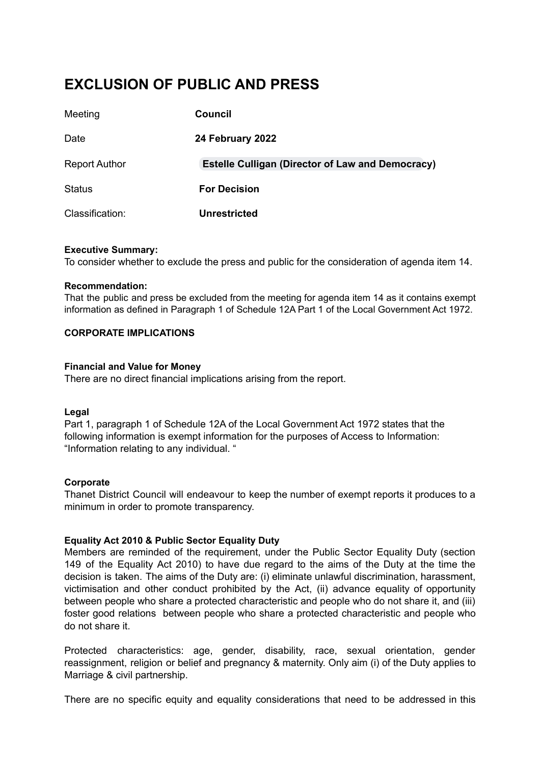# **EXCLUSION OF PUBLIC AND PRESS**

| Meeting              | Council                                                 |
|----------------------|---------------------------------------------------------|
| Date                 | 24 February 2022                                        |
| <b>Report Author</b> | <b>Estelle Culligan (Director of Law and Democracy)</b> |
| <b>Status</b>        | <b>For Decision</b>                                     |
| Classification:      | <b>Unrestricted</b>                                     |

#### **Executive Summary:**

To consider whether to exclude the press and public for the consideration of agenda item 14.

#### **Recommendation:**

That the public and press be excluded from the meeting for agenda item 14 as it contains exempt information as defined in Paragraph 1 of Schedule 12A Part 1 of the Local Government Act 1972.

#### **CORPORATE IMPLICATIONS**

#### **Financial and Value for Money**

There are no direct financial implications arising from the report.

#### **Legal**

Part 1, paragraph 1 of Schedule 12A of the Local Government Act 1972 states that the following information is exempt information for the purposes of Access to Information: "Information relating to any individual. "

#### **Corporate**

Thanet District Council will endeavour to keep the number of exempt reports it produces to a minimum in order to promote transparency.

#### **Equality Act 2010 & Public Sector Equality Duty**

Members are reminded of the requirement, under the Public Sector Equality Duty (section 149 of the Equality Act 2010) to have due regard to the aims of the Duty at the time the decision is taken. The aims of the Duty are: (i) eliminate unlawful discrimination, harassment, victimisation and other conduct prohibited by the Act, (ii) advance equality of opportunity between people who share a protected characteristic and people who do not share it, and (iii) foster good relations between people who share a protected characteristic and people who do not share it.

Protected characteristics: age, gender, disability, race, sexual orientation, gender reassignment, religion or belief and pregnancy & maternity. Only aim (i) of the Duty applies to Marriage & civil partnership.

There are no specific equity and equality considerations that need to be addressed in this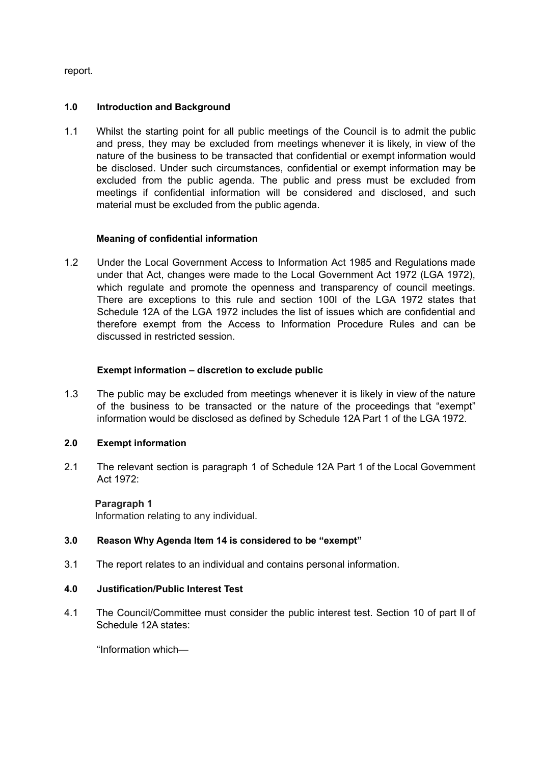report.

## **1.0 Introduction and Background**

1.1 Whilst the starting point for all public meetings of the Council is to admit the public and press, they may be excluded from meetings whenever it is likely, in view of the nature of the business to be transacted that confidential or exempt information would be disclosed. Under such circumstances, confidential or exempt information may be excluded from the public agenda. The public and press must be excluded from meetings if confidential information will be considered and disclosed, and such material must be excluded from the public agenda.

## **Meaning of confidential information**

1.2 Under the Local Government Access to Information Act 1985 and Regulations made under that Act, changes were made to the Local Government Act 1972 (LGA 1972), which regulate and promote the openness and transparency of council meetings. There are exceptions to this rule and section 100I of the LGA 1972 states that Schedule 12A of the LGA 1972 includes the list of issues which are confidential and therefore exempt from the Access to Information Procedure Rules and can be discussed in restricted session.

## **Exempt information – discretion to exclude public**

1.3 The public may be excluded from meetings whenever it is likely in view of the nature of the business to be transacted or the nature of the proceedings that "exempt" information would be disclosed as defined by Schedule 12A Part 1 of the LGA 1972.

# **2.0 Exempt information**

2.1 The relevant section is paragraph 1 of Schedule 12A Part 1 of the Local Government Act 1972:

**Paragraph 1** Information relating to any individual.

## **3.0 Reason Why Agenda Item 14 is considered to be "exempt"**

3.1 The report relates to an individual and contains personal information.

## **4.0 Justification/Public Interest Test**

4.1 The Council/Committee must consider the public interest test. Section 10 of part ll of Schedule 12A states:

"Information which—